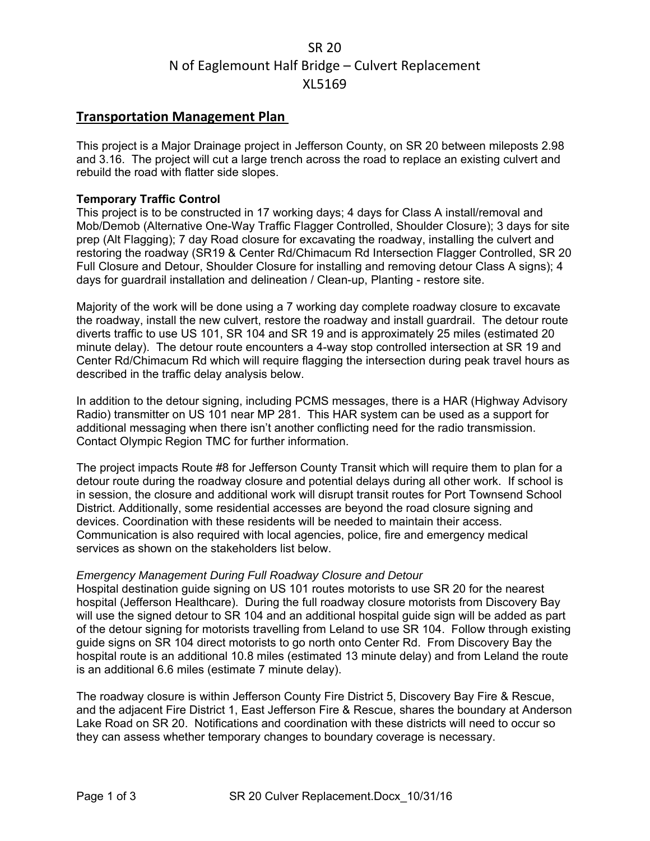# SR 20 N of Eaglemount Half Bridge – Culvert Replacement XL5169

## **Transportation Management Plan**

This project is a Major Drainage project in Jefferson County, on SR 20 between mileposts 2.98 and 3.16. The project will cut a large trench across the road to replace an existing culvert and rebuild the road with flatter side slopes.

#### **Temporary Traffic Control**

This project is to be constructed in 17 working days; 4 days for Class A install/removal and Mob/Demob (Alternative One-Way Traffic Flagger Controlled, Shoulder Closure); 3 days for site prep (Alt Flagging); 7 day Road closure for excavating the roadway, installing the culvert and restoring the roadway (SR19 & Center Rd/Chimacum Rd Intersection Flagger Controlled, SR 20 Full Closure and Detour, Shoulder Closure for installing and removing detour Class A signs); 4 days for guardrail installation and delineation / Clean-up, Planting - restore site.

Majority of the work will be done using a 7 working day complete roadway closure to excavate the roadway, install the new culvert, restore the roadway and install guardrail. The detour route diverts traffic to use US 101, SR 104 and SR 19 and is approximately 25 miles (estimated 20 minute delay). The detour route encounters a 4-way stop controlled intersection at SR 19 and Center Rd/Chimacum Rd which will require flagging the intersection during peak travel hours as described in the traffic delay analysis below.

In addition to the detour signing, including PCMS messages, there is a HAR (Highway Advisory Radio) transmitter on US 101 near MP 281. This HAR system can be used as a support for additional messaging when there isn't another conflicting need for the radio transmission. Contact Olympic Region TMC for further information.

The project impacts Route #8 for Jefferson County Transit which will require them to plan for a detour route during the roadway closure and potential delays during all other work. If school is in session, the closure and additional work will disrupt transit routes for Port Townsend School District. Additionally, some residential accesses are beyond the road closure signing and devices. Coordination with these residents will be needed to maintain their access. Communication is also required with local agencies, police, fire and emergency medical services as shown on the stakeholders list below.

#### *Emergency Management During Full Roadway Closure and Detour*

Hospital destination guide signing on US 101 routes motorists to use SR 20 for the nearest hospital (Jefferson Healthcare). During the full roadway closure motorists from Discovery Bay will use the signed detour to SR 104 and an additional hospital guide sign will be added as part of the detour signing for motorists travelling from Leland to use SR 104. Follow through existing guide signs on SR 104 direct motorists to go north onto Center Rd. From Discovery Bay the hospital route is an additional 10.8 miles (estimated 13 minute delay) and from Leland the route is an additional 6.6 miles (estimate 7 minute delay).

The roadway closure is within Jefferson County Fire District 5, Discovery Bay Fire & Rescue, and the adjacent Fire District 1, East Jefferson Fire & Rescue, shares the boundary at Anderson Lake Road on SR 20. Notifications and coordination with these districts will need to occur so they can assess whether temporary changes to boundary coverage is necessary.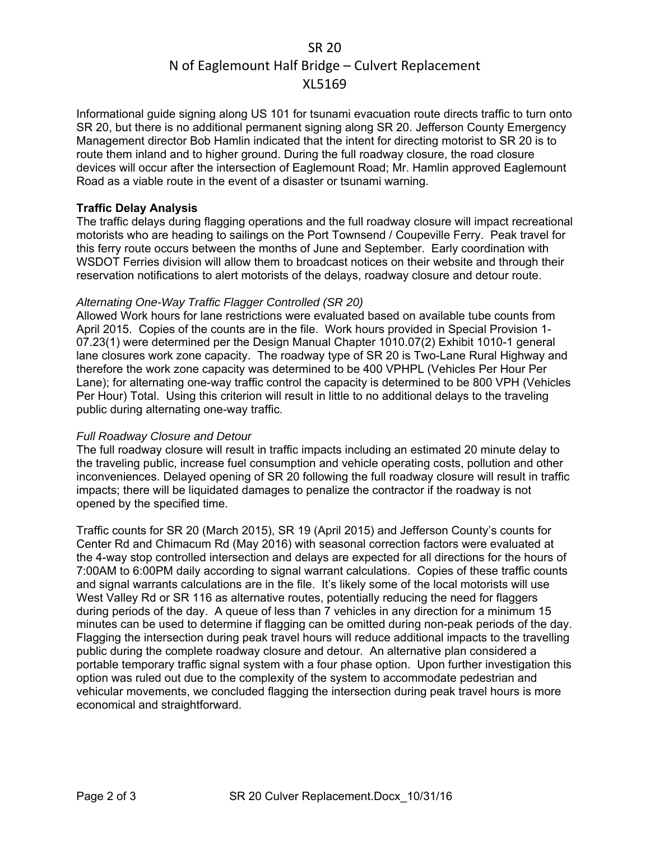# SR 20 N of Eaglemount Half Bridge – Culvert Replacement XL5169

Informational guide signing along US 101 for tsunami evacuation route directs traffic to turn onto SR 20, but there is no additional permanent signing along SR 20. Jefferson County Emergency Management director Bob Hamlin indicated that the intent for directing motorist to SR 20 is to route them inland and to higher ground. During the full roadway closure, the road closure devices will occur after the intersection of Eaglemount Road; Mr. Hamlin approved Eaglemount Road as a viable route in the event of a disaster or tsunami warning.

### **Traffic Delay Analysis**

The traffic delays during flagging operations and the full roadway closure will impact recreational motorists who are heading to sailings on the Port Townsend / Coupeville Ferry. Peak travel for this ferry route occurs between the months of June and September. Early coordination with WSDOT Ferries division will allow them to broadcast notices on their website and through their reservation notifications to alert motorists of the delays, roadway closure and detour route.

### *Alternating One-Way Traffic Flagger Controlled (SR 20)*

Allowed Work hours for lane restrictions were evaluated based on available tube counts from April 2015. Copies of the counts are in the file. Work hours provided in Special Provision 1- 07.23(1) were determined per the Design Manual Chapter 1010.07(2) Exhibit 1010-1 general lane closures work zone capacity. The roadway type of SR 20 is Two-Lane Rural Highway and therefore the work zone capacity was determined to be 400 VPHPL (Vehicles Per Hour Per Lane); for alternating one-way traffic control the capacity is determined to be 800 VPH (Vehicles Per Hour) Total. Using this criterion will result in little to no additional delays to the traveling public during alternating one-way traffic.

#### *Full Roadway Closure and Detour*

The full roadway closure will result in traffic impacts including an estimated 20 minute delay to the traveling public, increase fuel consumption and vehicle operating costs, pollution and other inconveniences. Delayed opening of SR 20 following the full roadway closure will result in traffic impacts; there will be liquidated damages to penalize the contractor if the roadway is not opened by the specified time.

Traffic counts for SR 20 (March 2015), SR 19 (April 2015) and Jefferson County's counts for Center Rd and Chimacum Rd (May 2016) with seasonal correction factors were evaluated at the 4-way stop controlled intersection and delays are expected for all directions for the hours of 7:00AM to 6:00PM daily according to signal warrant calculations. Copies of these traffic counts and signal warrants calculations are in the file. It's likely some of the local motorists will use West Valley Rd or SR 116 as alternative routes, potentially reducing the need for flaggers during periods of the day. A queue of less than 7 vehicles in any direction for a minimum 15 minutes can be used to determine if flagging can be omitted during non-peak periods of the day. Flagging the intersection during peak travel hours will reduce additional impacts to the travelling public during the complete roadway closure and detour. An alternative plan considered a portable temporary traffic signal system with a four phase option. Upon further investigation this option was ruled out due to the complexity of the system to accommodate pedestrian and vehicular movements, we concluded flagging the intersection during peak travel hours is more economical and straightforward.